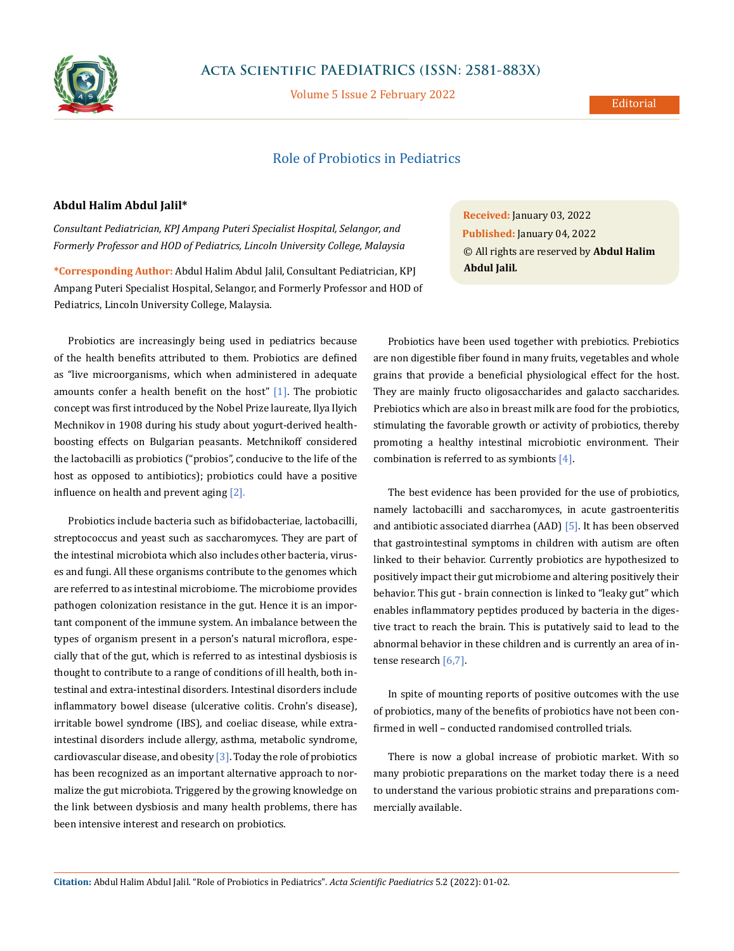

## **Acta Scientific PAEDIATRICS (ISSN: 2581-883X)**

Volume 5 Issue 2 February 2022

# Role of Probiotics in Pediatrics

#### **Abdul Halim Abdul Jalil\***

*Consultant Pediatrician, KPJ Ampang Puteri Specialist Hospital, Selangor, and Formerly Professor and HOD of Pediatrics, Lincoln University College, Malaysia*

**\*Corresponding Author:** Abdul Halim Abdul Jalil, Consultant Pediatrician, KPJ Ampang Puteri Specialist Hospital, Selangor, and Formerly Professor and HOD of Pediatrics, Lincoln University College, Malaysia.

Probiotics are increasingly being used in pediatrics because of the health benefits attributed to them. Probiotics are defined as "live microorganisms, which when administered in adequate amounts confer a health benefit on the host"  $[1]$ . The probiotic concept was first introduced by the Nobel Prize laureate, Ilya Ilyich Mechnikov in 1908 during his study about yogurt-derived healthboosting effects on Bulgarian peasants. Metchnikoff considered the lactobacilli as probiotics ("probios", conducive to the life of the host as opposed to antibiotics); probiotics could have a positive influence on health and prevent aging [2].

Probiotics include bacteria such as bifidobacteriae, lactobacilli, streptococcus and yeast such as saccharomyces. They are part of the intestinal microbiota which also includes other bacteria, viruses and fungi. All these organisms contribute to the genomes which are referred to as intestinal microbiome. The microbiome provides pathogen colonization resistance in the gut. Hence it is an important component of the immune system. An imbalance between the types of organism present in a person's natural microflora, especially that of the gut, which is referred to as intestinal dysbiosis is thought to contribute to a range of conditions of ill health, both intestinal and extra-intestinal disorders. Intestinal disorders include inflammatory bowel disease (ulcerative colitis. Crohn's disease), irritable bowel syndrome (IBS), and coeliac disease, while extraintestinal disorders include allergy, asthma, metabolic syndrome, cardiovascular disease, and obesity  $\lceil 3 \rceil$ . Today the role of probiotics has been recognized as an important alternative approach to normalize the gut microbiota. Triggered by the growing knowledge on the link between dysbiosis and many health problems, there has been intensive interest and research on probiotics.

**Received:** January 03, 2022 **Published:** January 04, 2022 © All rights are reserved by **Abdul Halim Abdul Jalil***.*

Probiotics have been used together with prebiotics. Prebiotics are non digestible fiber found in many fruits, vegetables and whole grains that provide a beneficial physiological effect for the host. They are mainly fructo oligosaccharides and galacto saccharides. Prebiotics which are also in breast milk are food for the probiotics, stimulating the favorable growth or activity of probiotics, thereby promoting a healthy intestinal microbiotic environment. Their combination is referred to as symbionts  $[4]$ .

The best evidence has been provided for the use of probiotics, namely lactobacilli and saccharomyces, in acute gastroenteritis and antibiotic associated diarrhea (AAD) [5]. It has been observed that gastrointestinal symptoms in children with autism are often linked to their behavior. Currently probiotics are hypothesized to positively impact their gut microbiome and altering positively their behavior. This gut - brain connection is linked to "leaky gut" which enables inflammatory peptides produced by bacteria in the digestive tract to reach the brain. This is putatively said to lead to the abnormal behavior in these children and is currently an area of intense research [6,7].

In spite of mounting reports of positive outcomes with the use of probiotics, many of the benefits of probiotics have not been confirmed in well – conducted randomised controlled trials.

There is now a global increase of probiotic market. With so many probiotic preparations on the market today there is a need to understand the various probiotic strains and preparations commercially available.